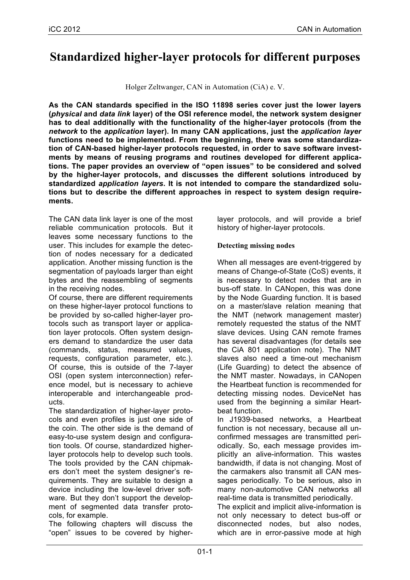# **Standardized higher-layer protocols for different purposes**

Holger Zeltwanger, CAN in Automation (CiA) e. V.

**As the CAN standards specified in the ISO 11898 series cover just the lower layers (***physical* **and** *data link* **layer) of the OSI reference model, the network system designer has to deal additionally with the functionality of the higher-layer protocols (from the**  *network* **to the** *application* **layer). In many CAN applications, just the** *application layer* **functions need to be implemented. From the beginning, there was some standardization of CAN-based higher-layer protocols requested, in order to save software investments by means of reusing programs and routines developed for different applications. The paper provides an overview of "open issues" to be considered and solved by the higher-layer protocols, and discusses the different solutions introduced by standardized** *application layers***. It is not intended to compare the standardized solutions but to describe the different approaches in respect to system design requirements.**

The CAN data link layer is one of the most reliable communication protocols. But it leaves some necessary functions to the user. This includes for example the detection of nodes necessary for a dedicated application. Another missing function is the segmentation of payloads larger than eight bytes and the reassembling of segments in the receiving nodes.

Of course, there are different requirements on these higher-layer protocol functions to be provided by so-called higher-layer protocols such as transport layer or application layer protocols. Often system designers demand to standardize the user data (commands, status, measured values, requests, configuration parameter, etc.). Of course, this is outside of the 7-layer OSI (open system interconnection) reference model, but is necessary to achieve interoperable and interchangeable products.

The standardization of higher-layer protocols and even profiles is just one side of the coin. The other side is the demand of easy-to-use system design and configuration tools. Of course, standardized higherlayer protocols help to develop such tools. The tools provided by the CAN chipmakers don't meet the system designer's requirements. They are suitable to design a device including the low-level driver software. But they don't support the development of segmented data transfer protocols, for example.

The following chapters will discuss the "open" issues to be covered by higherlayer protocols, and will provide a brief history of higher-layer protocols.

## **Detecting missing nodes**

When all messages are event-triggered by means of Change-of-State (CoS) events, it is necessary to detect nodes that are in bus-off state. In CANopen, this was done by the Node Guarding function. It is based on a master/slave relation meaning that the NMT (network management master) remotely requested the status of the NMT slave devices. Using CAN remote frames has several disadvantages (for details see the CiA 801 application note). The NMT slaves also need a time-out mechanism (Life Guarding) to detect the absence of the NMT master. Nowadays, in CANopen the Heartbeat function is recommended for detecting missing nodes. DeviceNet has used from the beginning a similar Heartbeat function.

In J1939-based networks, a Heartbeat function is not necessary, because all unconfirmed messages are transmitted periodically. So, each message provides implicitly an alive-information. This wastes bandwidth, if data is not changing. Most of the carmakers also transmit all CAN messages periodically. To be serious, also in many non-automotive CAN networks all real-time data is transmitted periodically.

The explicit and implicit alive-information is not only necessary to detect bus-off or disconnected nodes, but also nodes, which are in error-passive mode at high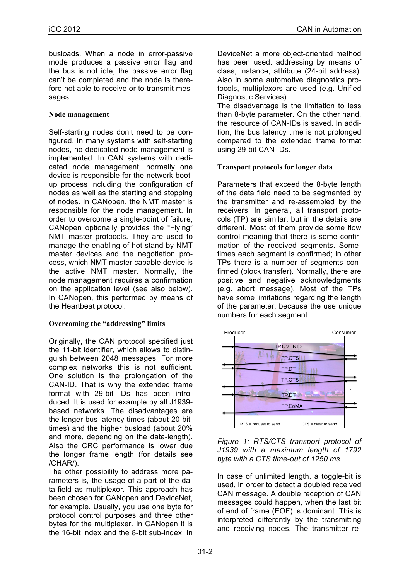busloads. When a node in error-passive mode produces a passive error flag and the bus is not idle, the passive error flag can't be completed and the node is therefore not able to receive or to transmit messages.

#### **Node management**

Self-starting nodes don't need to be configured. In many systems with self-starting nodes, no dedicated node management is implemented. In CAN systems with dedicated node management, normally one device is responsible for the network bootup process including the configuration of nodes as well as the starting and stopping of nodes. In CANopen, the NMT master is responsible for the node management. In order to overcome a single-point of failure, CANopen optionally provides the "Flying" NMT master protocols. They are used to manage the enabling of hot stand-by NMT master devices and the negotiation process, which NMT master capable device is the active NMT master. Normally, the node management requires a confirmation on the application level (see also below). In CANopen, this performed by means of the Heartbeat protocol.

#### **Overcoming the "addressing" limits**

Originally, the CAN protocol specified just the 11-bit identifier, which allows to distinguish between 2048 messages. For more complex networks this is not sufficient. One solution is the prolongation of the CAN-ID. That is why the extended frame format with 29-bit IDs has been introduced. It is used for example by all J1939 based networks. The disadvantages are the longer bus latency times (about 20 bittimes) and the higher busload (about 20% and more, depending on the data-length). Also the CRC performance is lower due the longer frame length (for details see /CHAR/).

The other possibility to address more parameters is, the usage of a part of the data-field as multiplexor. This approach has been chosen for CANopen and DeviceNet, for example. Usually, you use one byte for protocol control purposes and three other bytes for the multiplexer. In CANopen it is the 16-bit index and the 8-bit sub-index. In

DeviceNet a more object-oriented method has been used: addressing by means of class, instance, attribute (24-bit address). Also in some automotive diagnostics protocols, multiplexors are used (e.g. Unified Diagnostic Services).

The disadvantage is the limitation to less than 8-byte parameter. On the other hand, the resource of CAN-IDs is saved. In addition, the bus latency time is not prolonged compared to the extended frame format using 29-bit CAN-IDs.

#### **Transport protocols for longer data**

Parameters that exceed the 8-byte length of the data field need to be segmented by the transmitter and re-assembled by the receivers. In general, all transport protocols (TP) are similar, but in the details are different. Most of them provide some flow control meaning that there is some confirmation of the received segments. Sometimes each segment is confirmed; in other TPs there is a number of segments confirmed (block transfer). Normally, there are positive and negative acknowledgments (e.g. abort message). Most of the TPs have some limitations regarding the length of the parameter, because the use unique numbers for each segment.





In case of unlimited length, a toggle-bit is used, in order to detect a doubled received CAN message. A double reception of CAN messages could happen, when the last bit of end of frame (EOF) is dominant. This is interpreted differently by the transmitting and receiving nodes. The transmitter re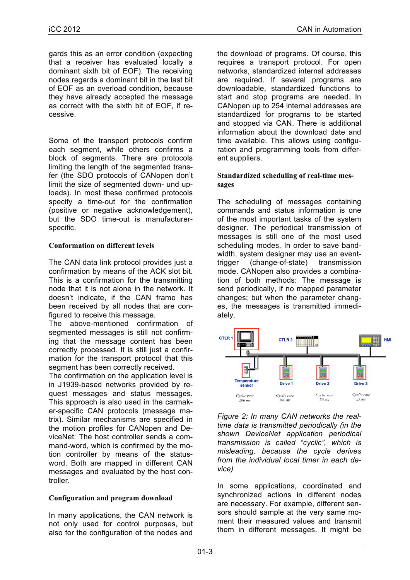gards this as an error condition (expecting that a receiver has evaluated locally a dominant sixth bit of EOF). The receiving nodes regards a dominant bit in the last bit of EOF as an overload condition, because they have already accepted the message as correct with the sixth bit of EOF, if recessive.

Some of the transport protocols confirm each segment, while others confirms a block of segments. There are protocols limiting the length of the segmented transfer (the SDO protocols of CANopen don't limit the size of segmented down- und uploads). In most these confirmed protocols specify a time-out for the confirmation (positive or negative acknowledgement), but the SDO time-out is manufacturerspecific.

## **Conformation on different levels**

The CAN data link protocol provides just a confirmation by means of the ACK slot bit. This is a confirmation for the transmitting node that it is not alone in the network. It doesn't indicate, if the CAN frame has been received by all nodes that are configured to receive this message.

The above-mentioned confirmation of segmented messages is still not confirming that the message content has been correctly processed. It is still just a confirmation for the transport protocol that this segment has been correctly received.

The confirmation on the application level is in J1939-based networks provided by request messages and status messages. This approach is also used in the carmaker-specific CAN protocols (message matrix). Similar mechanisms are specified in the motion profiles for CANopen and DeviceNet: The host controller sends a command-word, which is confirmed by the motion controller by means of the statusword. Both are mapped in different CAN messages and evaluated by the host controller.

# **Configuration and program download**

In many applications, the CAN network is not only used for control purposes, but also for the configuration of the nodes and

the download of programs. Of course, this requires a transport protocol. For open networks, standardized internal addresses are required. If several programs are downloadable, standardized functions to start and stop programs are needed. In CANopen up to 254 internal addresses are standardized for programs to be started and stopped via CAN. There is additional information about the download date and time available. This allows using configuration and programming tools from different suppliers.

### **Standardized scheduling of real-time messages**

The scheduling of messages containing commands and status information is one of the most important tasks of the system designer. The periodical transmission of messages is still one of the most used scheduling modes. In order to save bandwidth, system designer may use an eventtrigger (change-of-state) transmission mode. CANopen also provides a combination of both methods: The message is send periodically, if no mapped parameter changes; but when the parameter changes, the messages is transmitted immediately.



*Figure 2: In many CAN networks the realtime data is transmitted periodically (in the shown DeviceNet application periodical transmission is called "cyclic", which is misleading, because the cycle derives from the individual local timer in each device)*

In some applications, coordinated and synchronized actions in different nodes are necessary. For example, different sensors should sample at the very same moment their measured values and transmit them in different messages. It might be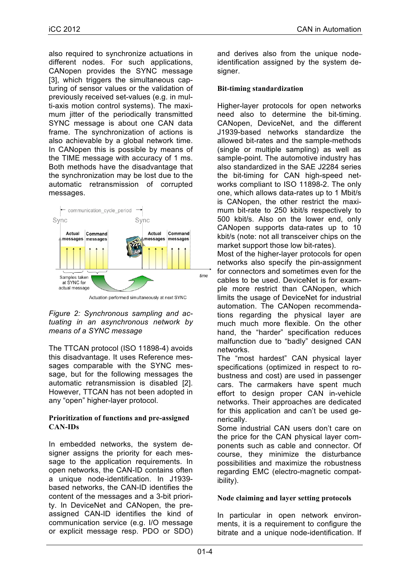also required to synchronize actuations in different nodes. For such applications, CANopen provides the SYNC message [3], which triggers the simultaneous capturing of sensor values or the validation of previously received set-values (e.g. in multi-axis motion control systems). The maximum jitter of the periodically transmitted SYNC message is about one CAN data frame. The synchronization of actions is also achievable by a global network time. In CANopen this is possible by means of the TIME message with accuracy of 1 ms. Both methods have the disadvantage that the synchronization may be lost due to the automatic retransmission of corrupted messages.



Actuation performed simultaneously at next SYNC

#### *Figure 2: Synchronous sampling and actuating in an asynchronous network by means of a SYNC message*

The TTCAN protocol (ISO 11898-4) avoids this disadvantage. It uses Reference messages comparable with the SYNC message, but for the following messages the automatic retransmission is disabled [2]. However, TTCAN has not been adopted in any "open" higher-layer protocol.

#### **Prioritization of functions and pre-assigned CAN-IDs**

In embedded networks, the system designer assigns the priority for each message to the application requirements. In open networks, the CAN-ID contains often a unique node-identification. In J1939 based networks, the CAN-ID identifies the content of the messages and a 3-bit priority. In DeviceNet and CANopen, the preassigned CAN-ID identifies the kind of communication service (e.g. I/O message or explicit message resp. PDO or SDO)

and derives also from the unique nodeidentification assigned by the system designer.

## **Bit-timing standardization**

Higher-layer protocols for open networks need also to determine the bit-timing. CANopen, DeviceNet, and the different J1939-based networks standardize the allowed bit-rates and the sample-methods (single or multiple sampling) as well as sample-point. The automotive industry has also standardized in the SAE J2284 series the bit-timing for CAN high-speed networks compliant to ISO 11898-2. The only one, which allows data-rates up to 1 Mbit/s is CANopen, the other restrict the maximum bit-rate to 250 kbit/s respectively to 500 kbit/s. Also on the lower end, only CANopen supports data-rates up to 10 kbit/s (note: not all transceiver chips on the market support those low bit-rates).

Most of the higher-layer protocols for open networks also specify the pin-assignment for connectors and sometimes even for the cables to be used. DeviceNet is for example more restrict than CANopen, which limits the usage of DeviceNet for industrial automation. The CANopen recommendations regarding the physical layer are much much more flexible. On the other hand, the "harder" specification reduces malfunction due to "badly" designed CAN networks.

The "most hardest" CAN physical layer specifications (optimized in respect to robustness and cost) are used in passenger cars. The carmakers have spent much effort to design proper CAN in-vehicle networks. Their approaches are dedicated for this application and can't be used generically.

Some industrial CAN users don't care on the price for the CAN physical layer components such as cable and connector. Of course, they minimize the disturbance possibilities and maximize the robustness regarding EMC (electro-magnetic compatibility).

# **Node claiming and layer setting protocols**

In particular in open network environments, it is a requirement to configure the bitrate and a unique node-identification. If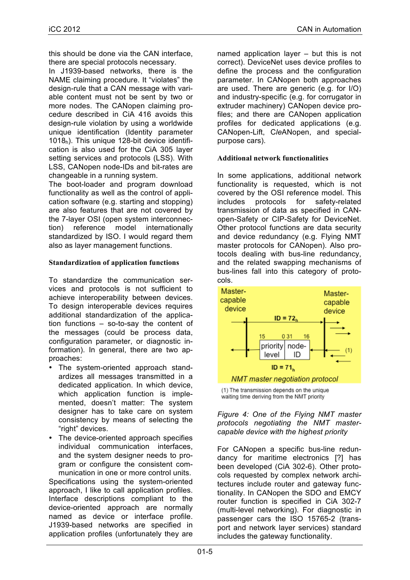this should be done via the CAN interface, there are special protocols necessary.

In J1939-based networks, there is the NAME claiming procedure. It "violates" the design-rule that a CAN message with variable content must not be sent by two or more nodes. The CANopen claiming procedure described in CiA 416 avoids this design-rule violation by using a worldwide unique identification (Identity parameter 1018h). This unique 128-bit device identification is also used for the CiA 305 layer setting services and protocols (LSS). With LSS, CANopen node-IDs and bit-rates are changeable in a running system.

The boot-loader and program download functionality as well as the control of application software (e.g. starting and stopping) are also features that are not covered by the 7-layer OSI (open system interconnection) reference model internationally standardized by ISO. I would regard them also as layer management functions.

#### **Standardization of application functions**

To standardize the communication services and protocols is not sufficient to achieve interoperability between devices. To design interoperable devices requires additional standardization of the application functions – so-to-say the content of the messages (could be process data, configuration parameter, or diagnostic information). In general, there are two approaches:

- The system-oriented approach standardizes all messages transmitted in a dedicated application. In which device, which application function is implemented, doesn't matter: The system designer has to take care on system consistency by means of selecting the "right" devices.
- The device-oriented approach specifies individual communication interfaces, and the system designer needs to program or configure the consistent communication in one or more control units.

Specifications using the system-oriented approach, I like to call application profiles. Interface descriptions compliant to the device-oriented approach are normally named as device or interface profile. J1939-based networks are specified in application profiles (unfortunately they are

named application layer – but this is not correct). DeviceNet uses device profiles to define the process and the configuration parameter. In CANopen both approaches are used. There are generic (e.g. for I/O) and industry-specific (e.g. for corrugator in extruder machinery) CANopen device profiles; and there are CANopen application profiles for dedicated applications (e.g. CANopen-Lift, C*le*ANopen, and specialpurpose cars).

#### **Additional network functionalities**

In some applications, additional network functionality is requested, which is not covered by the OSI reference model. This includes protocols for safety-related transmission of data as specified in CANopen-Safety or CIP-Safety for DeviceNet. Other protocol functions are data security and device redundancy (e.g. Flying NMT master protocols for CANopen). Also protocols dealing with bus-line redundancy, and the related swapping mechanisms of bus-lines fall into this category of protocols.



(1) The transmission depends on the unique waiting time deriving from the NMT priority

#### *Figure 4: One of the Flying NMT master protocols negotiating the NMT mastercapable device with the highest priority*

For CANopen a specific bus-line redundancy for maritime electronics [?] has been developed (CiA 302-6). Other protocols requested by complex network architectures include router and gateway functionality. In CANopen the SDO and EMCY router function is specified in CiA 302-7 (multi-level networking). For diagnostic in passenger cars the ISO 15765-2 (transport and network layer services) standard includes the gateway functionality.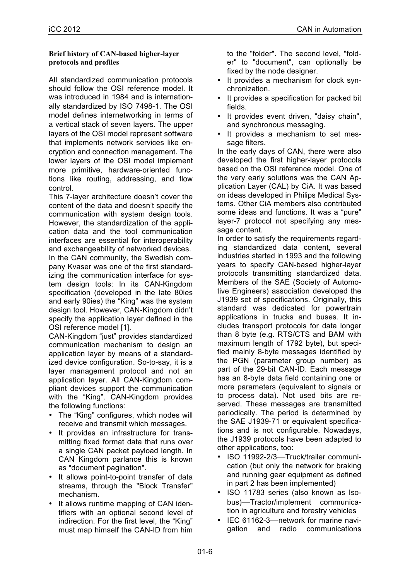#### **Brief history of CAN-based higher-layer protocols and profiles**

All standardized communication protocols should follow the OSI reference model. It was introduced in 1984 and is internationally standardized by ISO 7498-1. The OSI model defines internetworking in terms of a vertical stack of seven layers. The upper layers of the OSI model represent software that implements network services like encryption and connection management. The lower layers of the OSI model implement more primitive, hardware-oriented functions like routing, addressing, and flow control.

This 7-layer architecture doesn't cover the content of the data and doesn't specify the communication with system design tools. However, the standardization of the application data and the tool communication interfaces are essential for interoperability and exchangeability of networked devices.

In the CAN community, the Swedish company Kvaser was one of the first standardizing the communication interface for system design tools: In its CAN-Kingdom specification (developed in the late 80ies and early 90ies) the "King" was the system design tool. However, CAN-Kingdom didn't specify the application layer defined in the OSI reference model [1].

CAN-Kingdom "just" provides standardized communication mechanism to design an application layer by means of a standardized device configuration. So-to-say, it is a layer management protocol and not an application layer. All CAN-Kingdom compliant devices support the communication with the "King". CAN-Kingdom provides the following functions:

- The "King" configures, which nodes will receive and transmit which messages.
- It provides an infrastructure for transmitting fixed format data that runs over a single CAN packet payload length. In CAN Kingdom parlance this is known as "document pagination".
- It allows point-to-point transfer of data streams, through the "Block Transfer" mechanism.
- It allows runtime mapping of CAN identifiers with an optional second level of indirection. For the first level, the "King" must map himself the CAN-ID from him

to the "folder". The second level, "folder" to "document", can optionally be fixed by the node designer.

- It provides a mechanism for clock synchronization.
- It provides a specification for packed bit fields.
- It provides event driven, "daisy chain", and synchronous messaging.
- It provides a mechanism to set message filters.

In the early days of CAN, there were also developed the first higher-layer protocols based on the OSI reference model. One of the very early solutions was the CAN Application Layer (CAL) by CiA. It was based on ideas developed in Philips Medical Systems. Other CiA members also contributed some ideas and functions. It was a "pure" layer-7 protocol not specifying any message content.

In order to satisfy the requirements regarding standardized data content, several industries started in 1993 and the following years to specify CAN-based higher-layer protocols transmitting standardized data. Members of the SAE (Society of Automotive Engineers) association developed the J1939 set of specifications. Originally, this standard was dedicated for powertrain applications in trucks and buses. It includes transport protocols for data longer than 8 byte (e.g. RTS/CTS and BAM with maximum length of 1792 byte), but specified mainly 8-byte messages identified by the PGN (parameter group number) as part of the 29-bit CAN-ID. Each message has an 8-byte data field containing one or more parameters (equivalent to signals or to process data). Not used bits are reserved. These messages are transmitted periodically. The period is determined by the SAE J1939-71 or equivalent specifications and is not configurable. Nowadays, the J1939 protocols have been adapted to other applications, too:

- ISO 11992-2/3—Truck/trailer communication (but only the network for braking and running gear equipment as defined in part 2 has been implemented)
- ISO 11783 series (also known as Isobus)—Tractor/implement communication in agriculture and forestry vehicles
- IEC 61162-3—network for marine navigation and radio communications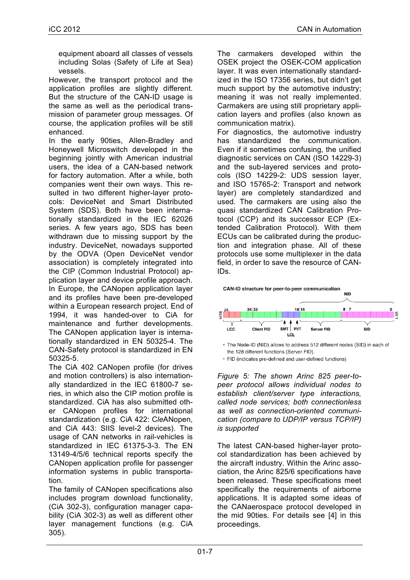equipment aboard all classes of vessels including Solas (Safety of Life at Sea) vessels.

However, the transport protocol and the application profiles are slightly different. But the structure of the CAN-ID usage is the same as well as the periodical transmission of parameter group messages. Of course, the application profiles will be still enhanced.

In the early 90ties, Allen-Bradley and Honeywell Microswitch developed in the beginning jointly with American industrial users, the idea of a CAN-based network for factory automation. After a while, both companies went their own ways. This resulted in two different higher-layer protocols: DeviceNet and Smart Distributed System (SDS). Both have been internationally standardized in the IEC 62026 series. A few years ago, SDS has been withdrawn due to missing support by the industry. DeviceNet, nowadays supported by the ODVA (Open DeviceNet vendor association) is completely integrated into the CIP (Common Industrial Protocol) application layer and device profile approach. In Europe, the CANopen application layer and its profiles have been pre-developed within a European research project. End of 1994, it was handed-over to CiA for maintenance and further developments. The CANopen application layer is internationally standardized in EN 50325-4. The CAN-Safety protocol is standardized in EN 50325-5.

The CiA 402 CANopen profile (for drives and motion controllers) is also internationally standardized in the IEC 61800-7 series, in which also the CIP motion profile is standardized. CiA has also submitted other CANopen profiles for international standardization (e.g. CiA 422: C*le*ANopen, and CiA 443: SIIS level-2 devices). The usage of CAN networks in rail-vehicles is standardized in IEC 61375-3-3. The EN 13149-4/5/6 technical reports specify the CANopen application profile for passenger information systems in public transportation.

The family of CANopen specifications also includes program download functionality, (CiA 302-3), configuration manager capability (CiA 302-3) as well as different other layer management functions (e.g. CiA 305).

The carmakers developed within the OSEK project the OSEK-COM application layer. It was even internationally standardized in the ISO 17356 series, but didn't get much support by the automotive industry; meaning it was not really implemented. Carmakers are using still proprietary application layers and profiles (also known as communication matrix).

For diagnostics, the automotive industry has standardized the communication. Even if it sometimes confusing, the unified diagnostic services on CAN (ISO 14229-3) and the sub-layered services and protocols (ISO 14229-2: UDS session layer, and ISO 15765-2: Transport and network layer) are completely standardized and used. The carmakers are using also the quasi standardized CAN Calibration Protocol (CCP) and its successor ECP (Extended Calibration Protocol). With them ECUs can be calibrated during the production and integration phase. All of these protocols use some multiplexer in the data field, in order to save the resource of CAN-IDs.



• The Node-ID (NID) allows to address 512 different nodes (SID) in each of the 128 different functions (Server FID).

• FID (indicates pre-defined and user-defined functions)

*Figure 5: The shown Arinc 825 peer-topeer protocol allows individual nodes to establish client/server type interactions, called node services; both connectionless as well as connection-oriented communication (compare to UDP/IP versus TCP/IP) is supported*

The latest CAN-based higher-layer protocol standardization has been achieved by the aircraft industry. Within the Arinc association, the Arinc 825/6 specifications have been released. These specifications meet specifically the requirements of airborne applications. It is adapted some ideas of the CANaerospace protocol developed in the mid 90ties. For details see [4] in this proceedings.